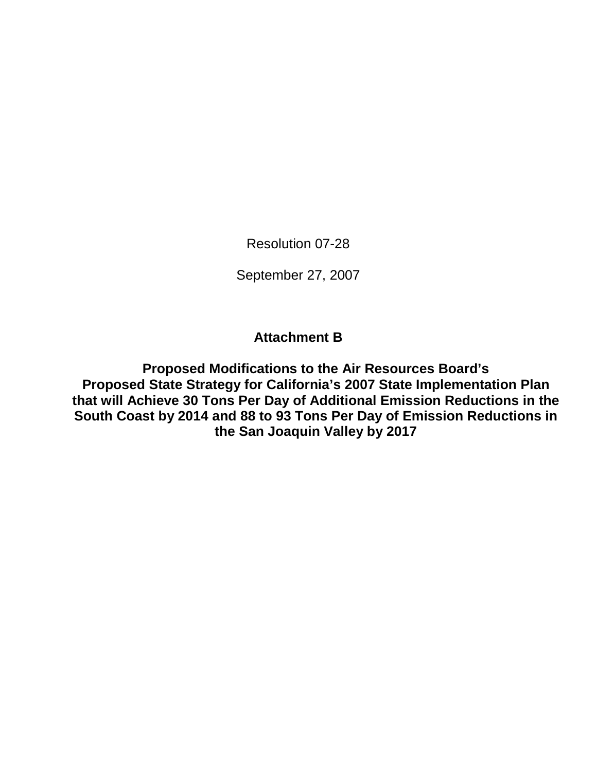Resolution 07-28

September 27, 2007

# **Attachment B**

**Proposed Modifications to the Air Resources Board's Proposed State Strategy for California's 2007 State Implementation Plan that will Achieve 30 Tons Per Day of Additional Emission Reductions in the South Coast by 2014 and 88 to 93 Tons Per Day of Emission Reductions in the San Joaquin Valley by 2017**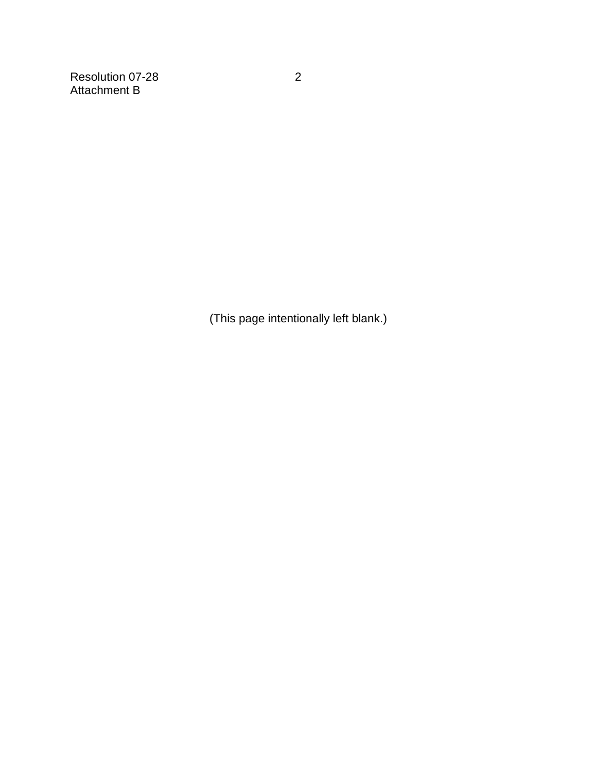Resolution 07-28 2 Attachment B

(This page intentionally left blank.)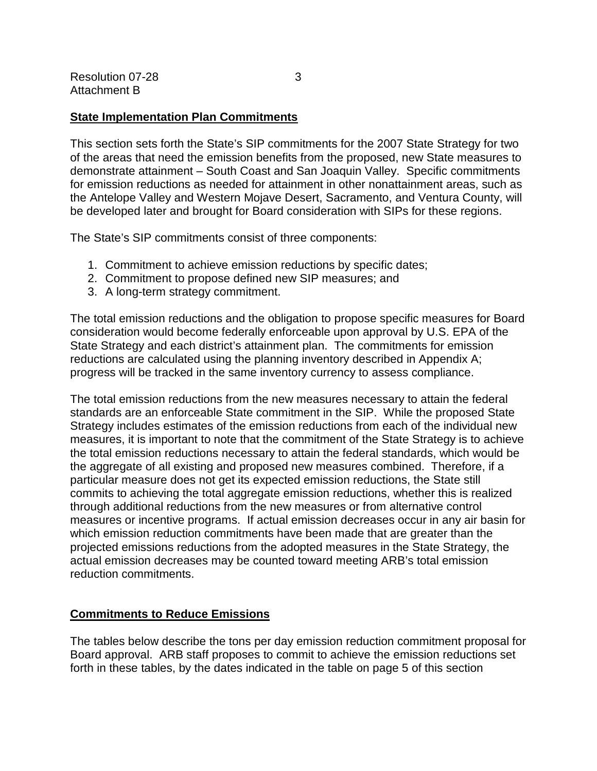#### **State Implementation Plan Commitments**

This section sets forth the State's SIP commitments for the 2007 State Strategy for two of the areas that need the emission benefits from the proposed, new State measures to demonstrate attainment – South Coast and San Joaquin Valley. Specific commitments for emission reductions as needed for attainment in other nonattainment areas, such as the Antelope Valley and Western Mojave Desert, Sacramento, and Ventura County, will be developed later and brought for Board consideration with SIPs for these regions.

The State's SIP commitments consist of three components:

- 1. Commitment to achieve emission reductions by specific dates;
- 2. Commitment to propose defined new SIP measures; and
- 3. A long-term strategy commitment.

The total emission reductions and the obligation to propose specific measures for Board consideration would become federally enforceable upon approval by U.S. EPA of the State Strategy and each district's attainment plan. The commitments for emission reductions are calculated using the planning inventory described in Appendix A; progress will be tracked in the same inventory currency to assess compliance.

The total emission reductions from the new measures necessary to attain the federal standards are an enforceable State commitment in the SIP. While the proposed State Strategy includes estimates of the emission reductions from each of the individual new measures, it is important to note that the commitment of the State Strategy is to achieve the total emission reductions necessary to attain the federal standards, which would be the aggregate of all existing and proposed new measures combined. Therefore, if a particular measure does not get its expected emission reductions, the State still commits to achieving the total aggregate emission reductions, whether this is realized through additional reductions from the new measures or from alternative control measures or incentive programs. If actual emission decreases occur in any air basin for which emission reduction commitments have been made that are greater than the projected emissions reductions from the adopted measures in the State Strategy, the actual emission decreases may be counted toward meeting ARB's total emission reduction commitments.

### **Commitments to Reduce Emissions**

The tables below describe the tons per day emission reduction commitment proposal for Board approval. ARB staff proposes to commit to achieve the emission reductions set forth in these tables, by the dates indicated in the table on page 5 of this section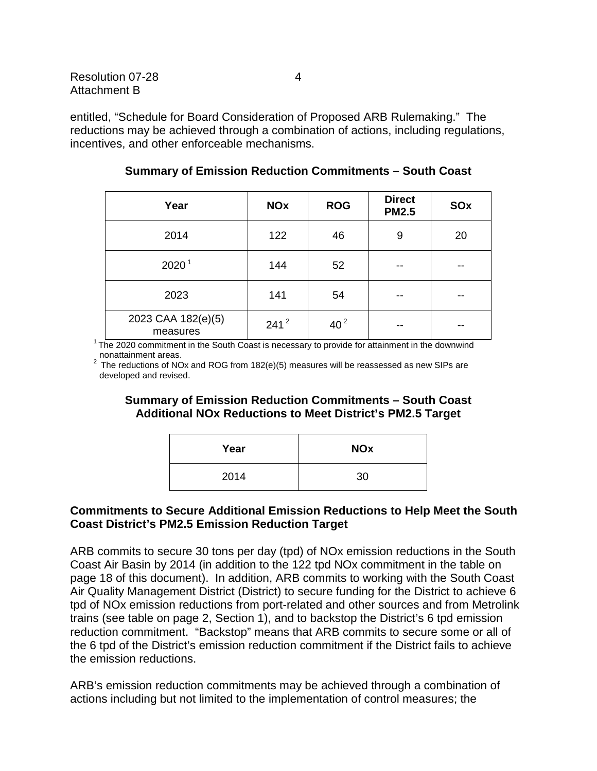entitled, "Schedule for Board Consideration of Proposed ARB Rulemaking." The reductions may be achieved through a combination of actions, including regulations, incentives, and other enforceable mechanisms.

| Year                           | <b>NOx</b> | <b>ROG</b>      | <b>Direct</b><br><b>PM2.5</b> | SOx |
|--------------------------------|------------|-----------------|-------------------------------|-----|
| 2014                           | 122        | 46              | 9                             | 20  |
| 2020 <sup>1</sup>              | 144        | 52              |                               |     |
| 2023                           | 141        | 54              |                               |     |
| 2023 CAA 182(e)(5)<br>measures | $241^2$    | 40 <sup>2</sup> | --                            | --  |

### **Summary of Emission Reduction Commitments – South Coast**

<sup>1</sup> The 2020 commitment in the South Coast is necessary to provide for attainment in the downwind

nonattainment areas. 2 The reductions of NOx and ROG from 182(e)(5) measures will be reassessed as new SIPs are developed and revised.

#### **Summary of Emission Reduction Commitments – South Coast Additional NOx Reductions to Meet District's PM2.5 Target**

| Year | <b>NOx</b> |
|------|------------|
| 2014 | 30         |

### **Commitments to Secure Additional Emission Reductions to Help Meet the South Coast District's PM2.5 Emission Reduction Target**

ARB commits to secure 30 tons per day (tpd) of NOx emission reductions in the South Coast Air Basin by 2014 (in addition to the 122 tpd NOx commitment in the table on page 18 of this document). In addition, ARB commits to working with the South Coast Air Quality Management District (District) to secure funding for the District to achieve 6 tpd of NOx emission reductions from port-related and other sources and from Metrolink trains (see table on page 2, Section 1), and to backstop the District's 6 tpd emission reduction commitment. "Backstop" means that ARB commits to secure some or all of the 6 tpd of the District's emission reduction commitment if the District fails to achieve the emission reductions.

ARB's emission reduction commitments may be achieved through a combination of actions including but not limited to the implementation of control measures; the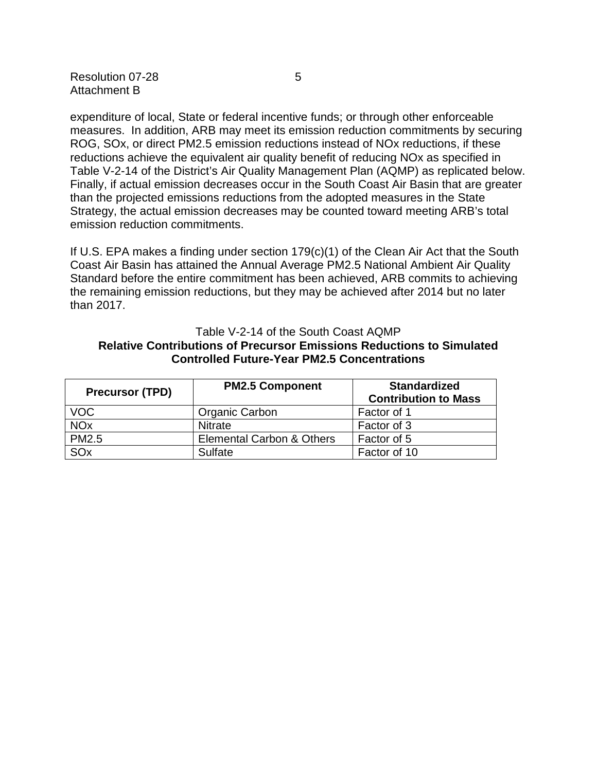#### Resolution 07-28 5 Attachment B

expenditure of local, State or federal incentive funds; or through other enforceable measures. In addition, ARB may meet its emission reduction commitments by securing ROG, SOx, or direct PM2.5 emission reductions instead of NOx reductions, if these reductions achieve the equivalent air quality benefit of reducing NOx as specified in Table V-2-14 of the District's Air Quality Management Plan (AQMP) as replicated below. Finally, if actual emission decreases occur in the South Coast Air Basin that are greater than the projected emissions reductions from the adopted measures in the State Strategy, the actual emission decreases may be counted toward meeting ARB's total emission reduction commitments.

If U.S. EPA makes a finding under section 179(c)(1) of the Clean Air Act that the South Coast Air Basin has attained the Annual Average PM2.5 National Ambient Air Quality Standard before the entire commitment has been achieved, ARB commits to achieving the remaining emission reductions, but they may be achieved after 2014 but no later than 2017.

### Table V-2-14 of the South Coast AQMP **Relative Contributions of Precursor Emissions Reductions to Simulated Controlled Future-Year PM2.5 Concentrations**

| <b>Precursor (TPD)</b> | <b>PM2.5 Component</b>    | <b>Standardized</b><br><b>Contribution to Mass</b> |
|------------------------|---------------------------|----------------------------------------------------|
| <b>VOC</b>             | Organic Carbon            | Factor of 1                                        |
| <b>NO<sub>x</sub></b>  | <b>Nitrate</b>            | Factor of 3                                        |
| <b>PM2.5</b>           | Elemental Carbon & Others | Factor of 5                                        |
| SOx                    | Sulfate                   | Factor of 10                                       |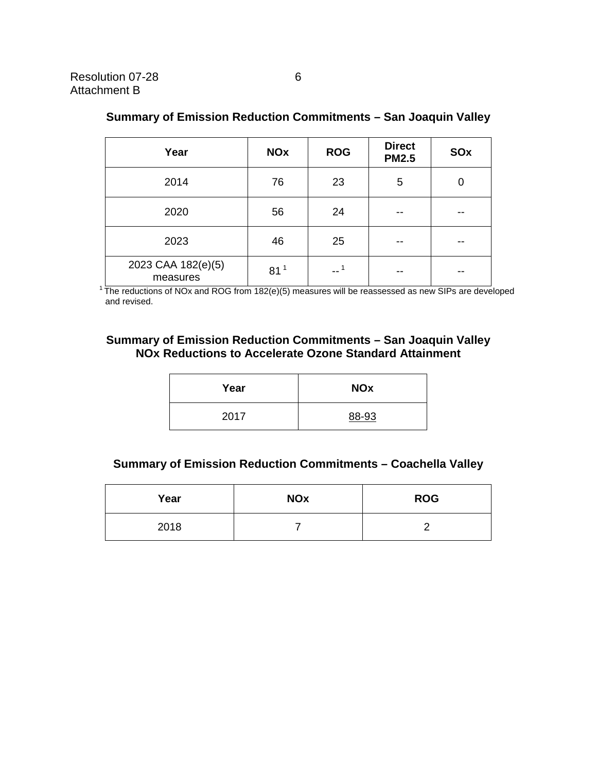| Year                           | <b>NOx</b>      | <b>ROG</b>     | <b>Direct</b><br><b>PM2.5</b> | SOx |
|--------------------------------|-----------------|----------------|-------------------------------|-----|
| 2014                           | 76              | 23             | 5                             | 0   |
| 2020                           | 56              | 24             | --                            | --  |
| 2023                           | 46              | 25             |                               | --  |
| 2023 CAA 182(e)(5)<br>measures | 81 <sup>1</sup> | $\overline{a}$ |                               | --  |

## **Summary of Emission Reduction Commitments – San Joaquin Valley**

<sup>1</sup> The reductions of NOx and ROG from 182(e)(5) measures will be reassessed as new SIPs are developed and revised.

### **Summary of Emission Reduction Commitments – San Joaquin Valley NOx Reductions to Accelerate Ozone Standard Attainment**

| Year | <b>NOx</b> |
|------|------------|
| 2017 | 88-93      |

### **Summary of Emission Reduction Commitments – Coachella Valley**

| Year | <b>NOx</b> | <b>ROG</b> |
|------|------------|------------|
| 2018 |            |            |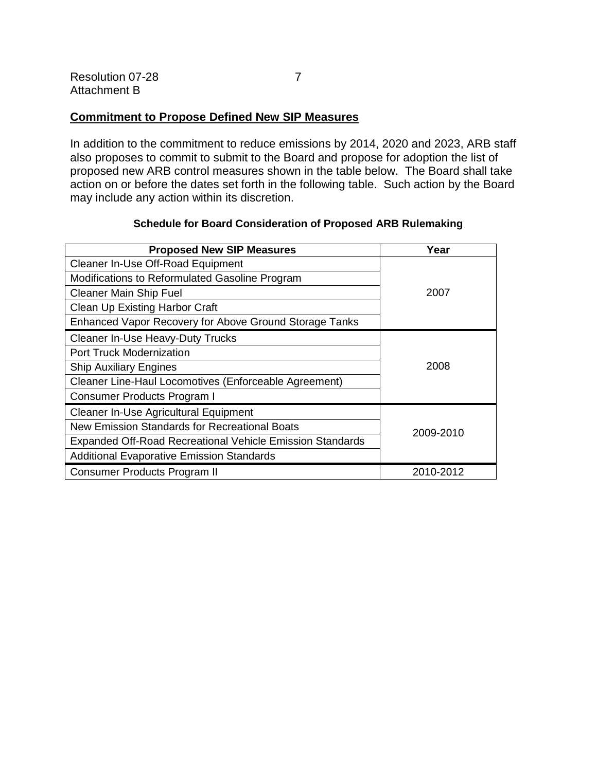#### **Commitment to Propose Defined New SIP Measures**

In addition to the commitment to reduce emissions by 2014, 2020 and 2023, ARB staff also proposes to commit to submit to the Board and propose for adoption the list of proposed new ARB control measures shown in the table below. The Board shall take action on or before the dates set forth in the following table. Such action by the Board may include any action within its discretion.

| <b>Proposed New SIP Measures</b>                                 | Year      |
|------------------------------------------------------------------|-----------|
| Cleaner In-Use Off-Road Equipment                                |           |
| Modifications to Reformulated Gasoline Program                   |           |
| <b>Cleaner Main Ship Fuel</b>                                    | 2007      |
| <b>Clean Up Existing Harbor Craft</b>                            |           |
| Enhanced Vapor Recovery for Above Ground Storage Tanks           |           |
| <b>Cleaner In-Use Heavy-Duty Trucks</b>                          |           |
| <b>Port Truck Modernization</b>                                  | 2008      |
| <b>Ship Auxiliary Engines</b>                                    |           |
| Cleaner Line-Haul Locomotives (Enforceable Agreement)            |           |
| Consumer Products Program I                                      |           |
| Cleaner In-Use Agricultural Equipment                            |           |
| New Emission Standards for Recreational Boats                    | 2009-2010 |
| <b>Expanded Off-Road Recreational Vehicle Emission Standards</b> |           |
| <b>Additional Evaporative Emission Standards</b>                 |           |
| Consumer Products Program II                                     | 2010-2012 |

### **Schedule for Board Consideration of Proposed ARB Rulemaking**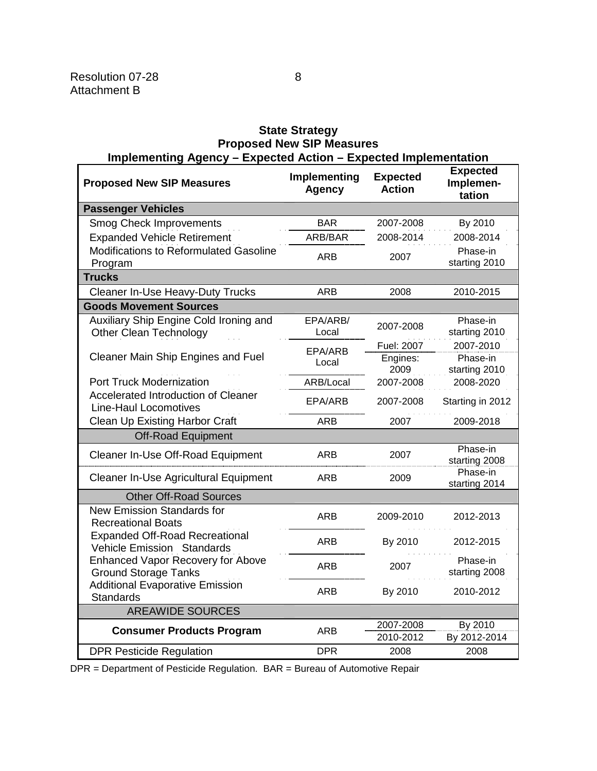### **State Strategy Proposed New SIP Measures Implementing Agency – Expected Action – Expected Implementation**

| <b>Proposed New SIP Measures</b>                                        | Implementing<br><b>Agency</b> | <b>Expected</b><br><b>Action</b> | <b>Expected</b><br>Implemen-<br>tation |
|-------------------------------------------------------------------------|-------------------------------|----------------------------------|----------------------------------------|
| <b>Passenger Vehicles</b>                                               |                               |                                  |                                        |
| <b>Smog Check Improvements</b>                                          | <b>BAR</b>                    | 2007-2008                        | By 2010                                |
| <b>Expanded Vehicle Retirement</b>                                      | ARB/BAR                       | 2008-2014                        | 2008-2014                              |
| Modifications to Reformulated Gasoline<br>Program                       | ARB                           | 2007                             | Phase-in<br>starting 2010              |
| <b>Trucks</b>                                                           |                               |                                  |                                        |
| Cleaner In-Use Heavy-Duty Trucks                                        | <b>ARB</b>                    | 2008                             | 2010-2015                              |
| <b>Goods Movement Sources</b>                                           |                               |                                  |                                        |
| Auxiliary Ship Engine Cold Ironing and<br><b>Other Clean Technology</b> | EPA/ARB/<br>Local             | 2007-2008                        | Phase-in<br>starting 2010              |
|                                                                         | EPA/ARB                       | Fuel: 2007                       | 2007-2010                              |
| Cleaner Main Ship Engines and Fuel                                      | Local                         | Engines:<br>2009                 | Phase-in<br>starting 2010              |
| <b>Port Truck Modernization</b>                                         | ARB/Local                     | 2007-2008                        | 2008-2020                              |
| Accelerated Introduction of Cleaner<br><b>Line-Haul Locomotives</b>     | EPA/ARB                       | 2007-2008                        | Starting in 2012                       |
| <b>Clean Up Existing Harbor Craft</b>                                   | <b>ARB</b>                    | 2007                             | 2009-2018                              |
| <b>Off-Road Equipment</b>                                               |                               |                                  |                                        |
| Cleaner In-Use Off-Road Equipment                                       | <b>ARB</b>                    | 2007                             | Phase-in<br>starting 2008              |
| Cleaner In-Use Agricultural Equipment                                   | ARB                           | 2009                             | Phase-in<br>starting 2014              |
| <b>Other Off-Road Sources</b>                                           |                               |                                  |                                        |
| <b>New Emission Standards for</b><br><b>Recreational Boats</b>          | <b>ARB</b>                    | 2009-2010                        | 2012-2013                              |
| <b>Expanded Off-Road Recreational</b><br>Vehicle Emission Standards     | ARB                           | By 2010                          | 2012-2015                              |
| <b>Enhanced Vapor Recovery for Above</b><br><b>Ground Storage Tanks</b> | <b>ARB</b>                    | 2007                             | Phase-in<br>starting 2008              |
| <b>Additional Evaporative Emission</b><br><b>Standards</b>              | <b>ARB</b>                    | By 2010                          | 2010-2012                              |
| <b>AREAWIDE SOURCES</b>                                                 |                               |                                  |                                        |
| <b>Consumer Products Program</b>                                        | <b>ARB</b>                    | 2007-2008<br>2010-2012           | By 2010<br>By 2012-2014                |
| <b>DPR Pesticide Regulation</b>                                         | <b>DPR</b>                    | 2008                             | 2008                                   |

DPR = Department of Pesticide Regulation. BAR = Bureau of Automotive Repair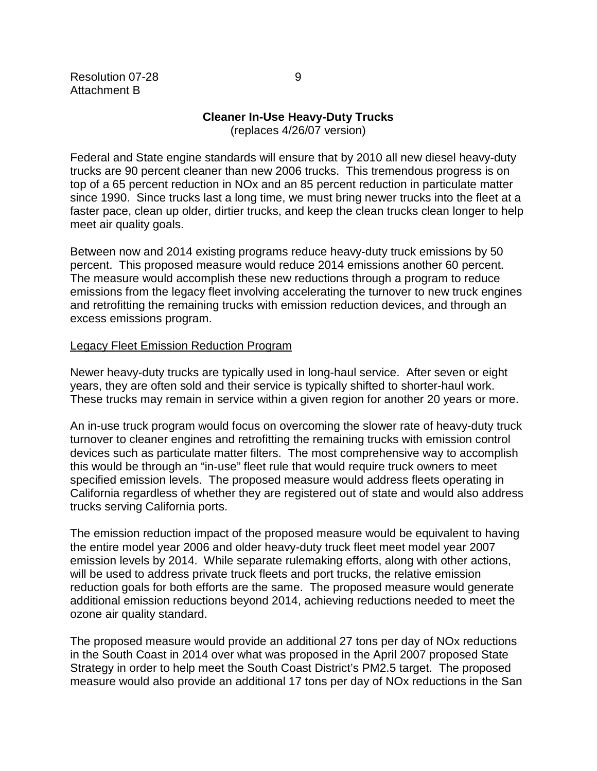(replaces 4/26/07 version)

Federal and State engine standards will ensure that by 2010 all new diesel heavy-duty trucks are 90 percent cleaner than new 2006 trucks. This tremendous progress is on top of a 65 percent reduction in NOx and an 85 percent reduction in particulate matter since 1990. Since trucks last a long time, we must bring newer trucks into the fleet at a faster pace, clean up older, dirtier trucks, and keep the clean trucks clean longer to help meet air quality goals.

Between now and 2014 existing programs reduce heavy-duty truck emissions by 50 percent. This proposed measure would reduce 2014 emissions another 60 percent. The measure would accomplish these new reductions through a program to reduce emissions from the legacy fleet involving accelerating the turnover to new truck engines and retrofitting the remaining trucks with emission reduction devices, and through an excess emissions program.

#### Legacy Fleet Emission Reduction Program

Newer heavy-duty trucks are typically used in long-haul service. After seven or eight years, they are often sold and their service is typically shifted to shorter-haul work. These trucks may remain in service within a given region for another 20 years or more.

An in-use truck program would focus on overcoming the slower rate of heavy-duty truck turnover to cleaner engines and retrofitting the remaining trucks with emission control devices such as particulate matter filters. The most comprehensive way to accomplish this would be through an "in-use" fleet rule that would require truck owners to meet specified emission levels. The proposed measure would address fleets operating in California regardless of whether they are registered out of state and would also address trucks serving California ports.

The emission reduction impact of the proposed measure would be equivalent to having the entire model year 2006 and older heavy-duty truck fleet meet model year 2007 emission levels by 2014. While separate rulemaking efforts, along with other actions, will be used to address private truck fleets and port trucks, the relative emission reduction goals for both efforts are the same. The proposed measure would generate additional emission reductions beyond 2014, achieving reductions needed to meet the ozone air quality standard.

The proposed measure would provide an additional 27 tons per day of NOx reductions in the South Coast in 2014 over what was proposed in the April 2007 proposed State Strategy in order to help meet the South Coast District's PM2.5 target. The proposed measure would also provide an additional 17 tons per day of NOx reductions in the San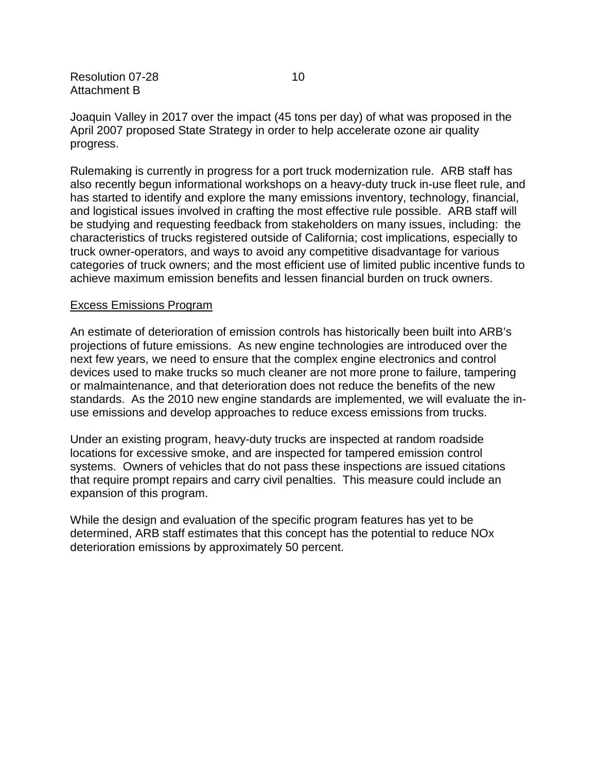Resolution 07-28 10 Attachment B

Joaquin Valley in 2017 over the impact (45 tons per day) of what was proposed in the April 2007 proposed State Strategy in order to help accelerate ozone air quality progress.

Rulemaking is currently in progress for a port truck modernization rule. ARB staff has also recently begun informational workshops on a heavy-duty truck in-use fleet rule, and has started to identify and explore the many emissions inventory, technology, financial, and logistical issues involved in crafting the most effective rule possible. ARB staff will be studying and requesting feedback from stakeholders on many issues, including: the characteristics of trucks registered outside of California; cost implications, especially to truck owner-operators, and ways to avoid any competitive disadvantage for various categories of truck owners; and the most efficient use of limited public incentive funds to achieve maximum emission benefits and lessen financial burden on truck owners.

#### Excess Emissions Program

An estimate of deterioration of emission controls has historically been built into ARB's projections of future emissions. As new engine technologies are introduced over the next few years, we need to ensure that the complex engine electronics and control devices used to make trucks so much cleaner are not more prone to failure, tampering or malmaintenance, and that deterioration does not reduce the benefits of the new standards. As the 2010 new engine standards are implemented, we will evaluate the inuse emissions and develop approaches to reduce excess emissions from trucks.

Under an existing program, heavy-duty trucks are inspected at random roadside locations for excessive smoke, and are inspected for tampered emission control systems. Owners of vehicles that do not pass these inspections are issued citations that require prompt repairs and carry civil penalties. This measure could include an expansion of this program.

While the design and evaluation of the specific program features has yet to be determined, ARB staff estimates that this concept has the potential to reduce NOx deterioration emissions by approximately 50 percent.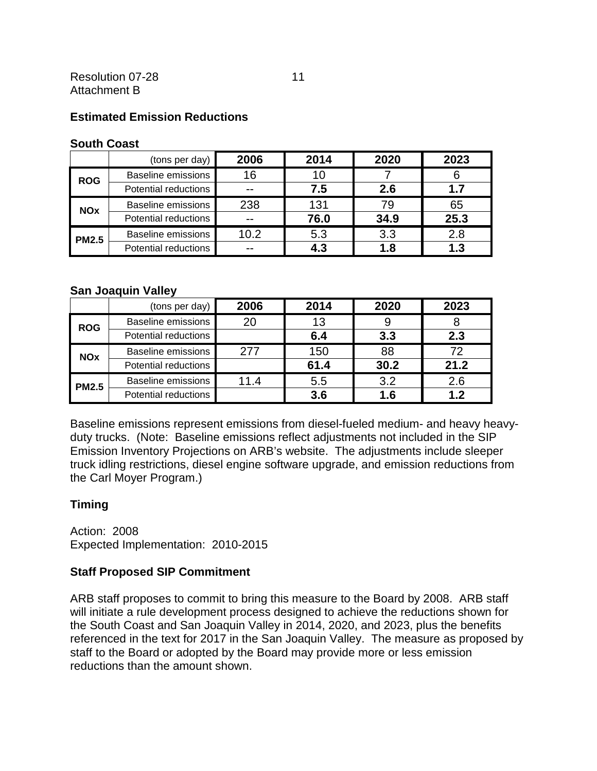#### **Estimated Emission Reductions**

#### **South Coast**

|              | (tons per day)            | 2006  | 2014 | 2020 | 2023 |
|--------------|---------------------------|-------|------|------|------|
| <b>ROG</b>   | <b>Baseline emissions</b> | 16    | 10   |      |      |
|              | Potential reductions      | --    | 7.5  | 2.6  | 1.7  |
| <b>NOx</b>   | <b>Baseline emissions</b> | 238   | 131  | 79   | 65   |
|              | Potential reductions      | $- -$ | 76.0 | 34.9 | 25.3 |
| <b>PM2.5</b> | <b>Baseline emissions</b> | 10.2  | 5.3  | 3.3  | 2.8  |
|              | Potential reductions      |       | 4.3  | 1.8  | 1.3  |

#### **San Joaquin Valley**

|              | (tons per day)            | 2006 | 2014 | 2020 | 2023 |
|--------------|---------------------------|------|------|------|------|
| <b>ROG</b>   | <b>Baseline emissions</b> | 20   | 13   |      |      |
|              | Potential reductions      |      | 6.4  | 3.3  | 2.3  |
| <b>NOx</b>   | <b>Baseline emissions</b> | 277  | 150  | 88   | 72   |
|              | Potential reductions      |      | 61.4 | 30.2 | 21.2 |
| <b>PM2.5</b> | <b>Baseline emissions</b> | 11.4 | 5.5  | 3.2  | 2.6  |
|              | Potential reductions      |      | 3.6  | 1.6  | 1.2  |

Baseline emissions represent emissions from diesel-fueled medium- and heavy heavyduty trucks. (Note: Baseline emissions reflect adjustments not included in the SIP Emission Inventory Projections on ARB's website. The adjustments include sleeper truck idling restrictions, diesel engine software upgrade, and emission reductions from the Carl Moyer Program.)

### **Timing**

Action: 2008 Expected Implementation: 2010-2015

### **Staff Proposed SIP Commitment**

ARB staff proposes to commit to bring this measure to the Board by 2008. ARB staff will initiate a rule development process designed to achieve the reductions shown for the South Coast and San Joaquin Valley in 2014, 2020, and 2023, plus the benefits referenced in the text for 2017 in the San Joaquin Valley. The measure as proposed by staff to the Board or adopted by the Board may provide more or less emission reductions than the amount shown.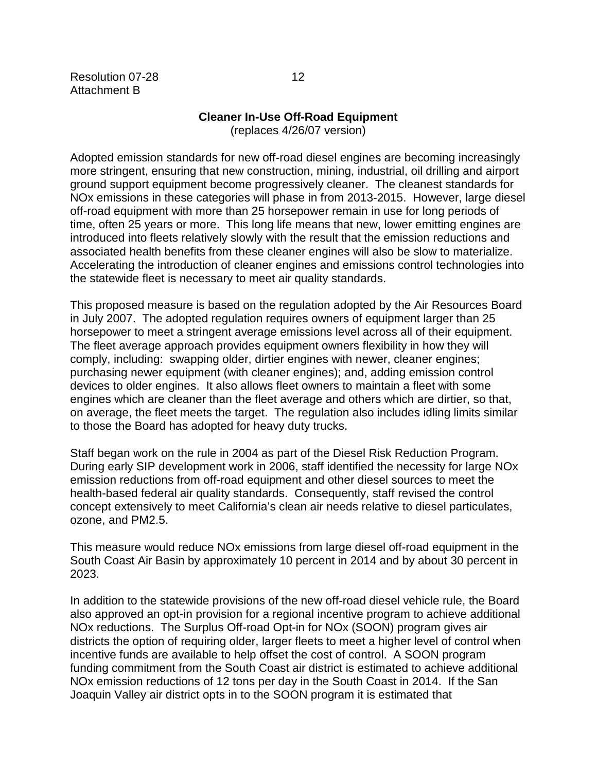(replaces 4/26/07 version)

Adopted emission standards for new off-road diesel engines are becoming increasingly more stringent, ensuring that new construction, mining, industrial, oil drilling and airport ground support equipment become progressively cleaner. The cleanest standards for NOx emissions in these categories will phase in from 2013-2015. However, large diesel off-road equipment with more than 25 horsepower remain in use for long periods of time, often 25 years or more. This long life means that new, lower emitting engines are introduced into fleets relatively slowly with the result that the emission reductions and associated health benefits from these cleaner engines will also be slow to materialize. Accelerating the introduction of cleaner engines and emissions control technologies into the statewide fleet is necessary to meet air quality standards.

This proposed measure is based on the regulation adopted by the Air Resources Board in July 2007. The adopted regulation requires owners of equipment larger than 25 horsepower to meet a stringent average emissions level across all of their equipment. The fleet average approach provides equipment owners flexibility in how they will comply, including: swapping older, dirtier engines with newer, cleaner engines; purchasing newer equipment (with cleaner engines); and, adding emission control devices to older engines. It also allows fleet owners to maintain a fleet with some engines which are cleaner than the fleet average and others which are dirtier, so that, on average, the fleet meets the target. The regulation also includes idling limits similar to those the Board has adopted for heavy duty trucks.

Staff began work on the rule in 2004 as part of the Diesel Risk Reduction Program. During early SIP development work in 2006, staff identified the necessity for large NOx emission reductions from off-road equipment and other diesel sources to meet the health-based federal air quality standards. Consequently, staff revised the control concept extensively to meet California's clean air needs relative to diesel particulates, ozone, and PM2.5.

This measure would reduce NOx emissions from large diesel off-road equipment in the South Coast Air Basin by approximately 10 percent in 2014 and by about 30 percent in 2023.

In addition to the statewide provisions of the new off-road diesel vehicle rule, the Board also approved an opt-in provision for a regional incentive program to achieve additional NOx reductions. The Surplus Off-road Opt-in for NOx (SOON) program gives air districts the option of requiring older, larger fleets to meet a higher level of control when incentive funds are available to help offset the cost of control. A SOON program funding commitment from the South Coast air district is estimated to achieve additional NOx emission reductions of 12 tons per day in the South Coast in 2014. If the San Joaquin Valley air district opts in to the SOON program it is estimated that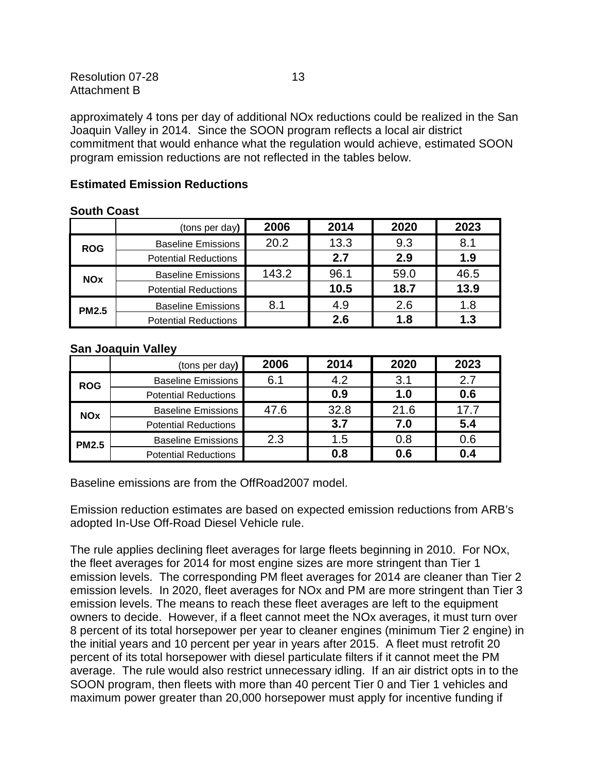approximately 4 tons per day of additional NOx reductions could be realized in the San Joaquin Valley in 2014. Since the SOON program reflects a local air district commitment that would enhance what the regulation would achieve, estimated SOON program emission reductions are not reflected in the tables below.

### **Estimated Emission Reductions**

### **South Coast**

|              | (tons per day) $\vert$      | 2006  | 2014 | 2020 | 2023 |
|--------------|-----------------------------|-------|------|------|------|
| <b>ROG</b>   | <b>Baseline Emissions</b>   | 20.2  | 13.3 | 9.3  | 8.1  |
|              | <b>Potential Reductions</b> |       | 2.7  | 2.9  | 1.9  |
| <b>NOx</b>   | <b>Baseline Emissions</b>   | 143.2 | 96.1 | 59.0 | 46.5 |
|              | <b>Potential Reductions</b> |       | 10.5 | 18.7 | 13.9 |
| <b>PM2.5</b> | <b>Baseline Emissions</b>   | 8.1   | 4.9  | 2.6  | 1.8  |
|              | <b>Potential Reductions</b> |       | 2.6  | 1.8  | 1.3  |

#### **San Joaquin Valley**

|              | (tons per day)              | 2006 | 2014 | 2020 | 2023 |
|--------------|-----------------------------|------|------|------|------|
| <b>ROG</b>   | <b>Baseline Emissions</b>   | 6.1  | 4.2  | 3.1  | 2.7  |
|              | <b>Potential Reductions</b> |      | 0.9  | 1.0  | 0.6  |
| <b>NOx</b>   | <b>Baseline Emissions</b>   | 47.6 | 32.8 | 21.6 | 17.7 |
|              | <b>Potential Reductions</b> |      | 3.7  | 7.0  | 5.4  |
| <b>PM2.5</b> | <b>Baseline Emissions</b>   | 2.3  | 1.5  | 0.8  | 0.6  |
|              | <b>Potential Reductions</b> |      | 0.8  | 0.6  | 0.4  |

Baseline emissions are from the OffRoad2007 model.

Emission reduction estimates are based on expected emission reductions from ARB's adopted In-Use Off-Road Diesel Vehicle rule.

The rule applies declining fleet averages for large fleets beginning in 2010. For NOx, the fleet averages for 2014 for most engine sizes are more stringent than Tier 1 emission levels. The corresponding PM fleet averages for 2014 are cleaner than Tier 2 emission levels. In 2020, fleet averages for NOx and PM are more stringent than Tier 3 emission levels. The means to reach these fleet averages are left to the equipment owners to decide. However, if a fleet cannot meet the NOx averages, it must turn over 8 percent of its total horsepower per year to cleaner engines (minimum Tier 2 engine) in the initial years and 10 percent per year in years after 2015. A fleet must retrofit 20 percent of its total horsepower with diesel particulate filters if it cannot meet the PM average. The rule would also restrict unnecessary idling. If an air district opts in to the SOON program, then fleets with more than 40 percent Tier 0 and Tier 1 vehicles and maximum power greater than 20,000 horsepower must apply for incentive funding if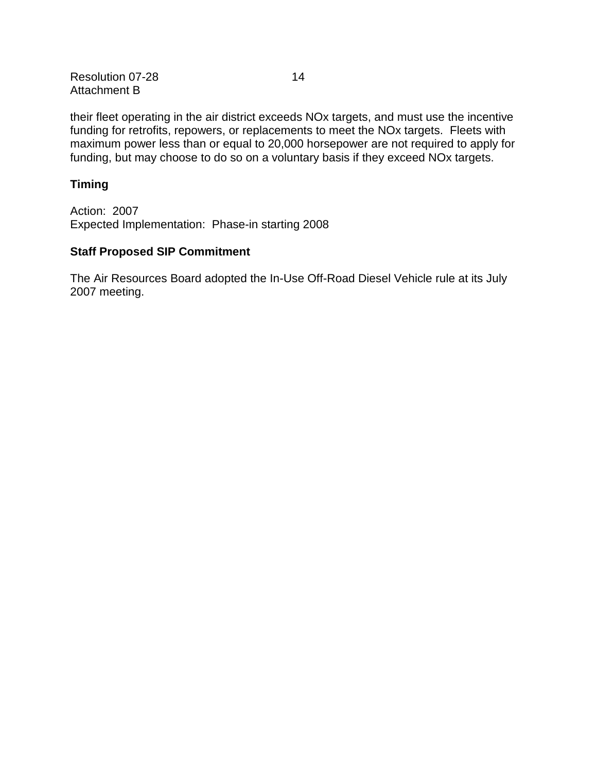Resolution 07-28 14 Attachment B

their fleet operating in the air district exceeds NOx targets, and must use the incentive funding for retrofits, repowers, or replacements to meet the NOx targets. Fleets with maximum power less than or equal to 20,000 horsepower are not required to apply for funding, but may choose to do so on a voluntary basis if they exceed NOx targets.

### **Timing**

Action: 2007 Expected Implementation: Phase-in starting 2008

### **Staff Proposed SIP Commitment**

The Air Resources Board adopted the In-Use Off-Road Diesel Vehicle rule at its July 2007 meeting.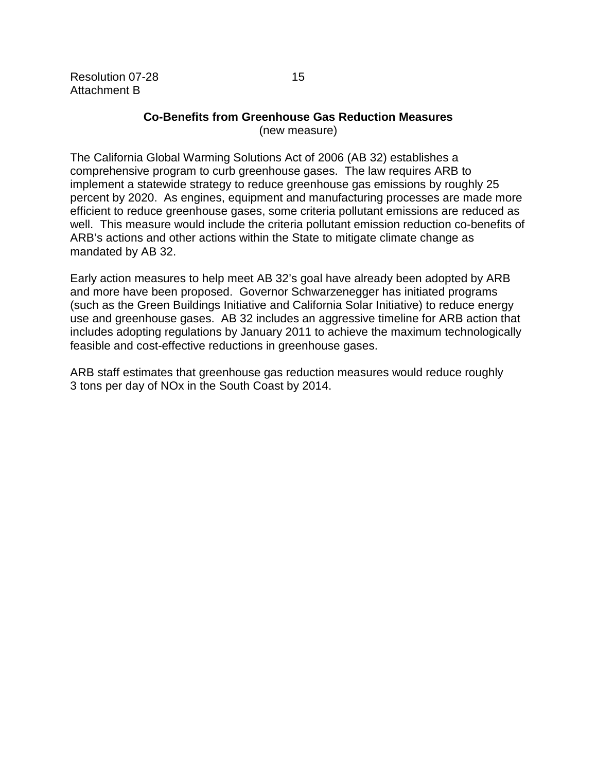The California Global Warming Solutions Act of 2006 (AB 32) establishes a comprehensive program to curb greenhouse gases. The law requires ARB to implement a statewide strategy to reduce greenhouse gas emissions by roughly 25 percent by 2020. As engines, equipment and manufacturing processes are made more efficient to reduce greenhouse gases, some criteria pollutant emissions are reduced as well. This measure would include the criteria pollutant emission reduction co-benefits of ARB's actions and other actions within the State to mitigate climate change as mandated by AB 32.

Early action measures to help meet AB 32's goal have already been adopted by ARB and more have been proposed. Governor Schwarzenegger has initiated programs (such as the Green Buildings Initiative and California Solar Initiative) to reduce energy use and greenhouse gases. AB 32 includes an aggressive timeline for ARB action that includes adopting regulations by January 2011 to achieve the maximum technologically feasible and cost-effective reductions in greenhouse gases.

ARB staff estimates that greenhouse gas reduction measures would reduce roughly 3 tons per day of NOx in the South Coast by 2014.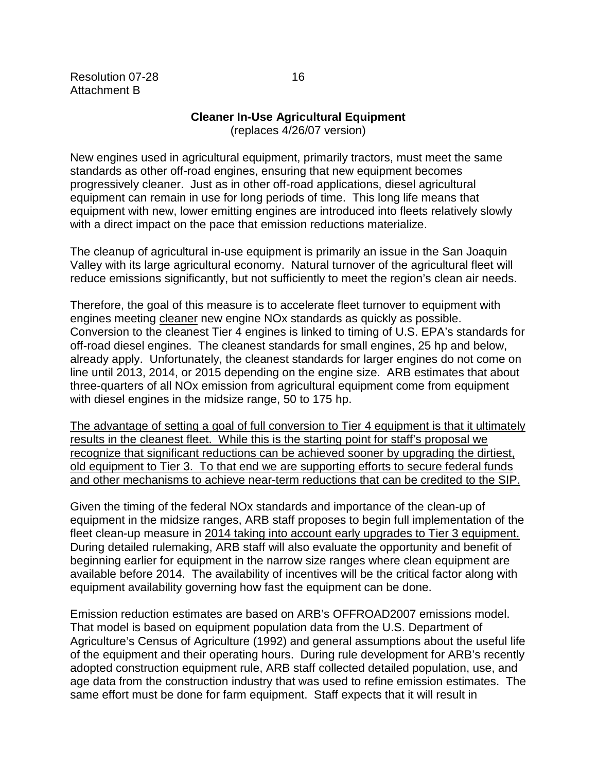# **Cleaner In-Use Agricultural Equipment**

(replaces 4/26/07 version)

New engines used in agricultural equipment, primarily tractors, must meet the same standards as other off-road engines, ensuring that new equipment becomes progressively cleaner. Just as in other off-road applications, diesel agricultural equipment can remain in use for long periods of time. This long life means that equipment with new, lower emitting engines are introduced into fleets relatively slowly with a direct impact on the pace that emission reductions materialize.

The cleanup of agricultural in-use equipment is primarily an issue in the San Joaquin Valley with its large agricultural economy. Natural turnover of the agricultural fleet will reduce emissions significantly, but not sufficiently to meet the region's clean air needs.

Therefore, the goal of this measure is to accelerate fleet turnover to equipment with engines meeting cleaner new engine NOx standards as quickly as possible. Conversion to the cleanest Tier 4 engines is linked to timing of U.S. EPA's standards for off-road diesel engines. The cleanest standards for small engines, 25 hp and below, already apply. Unfortunately, the cleanest standards for larger engines do not come on line until 2013, 2014, or 2015 depending on the engine size. ARB estimates that about three-quarters of all NOx emission from agricultural equipment come from equipment with diesel engines in the midsize range, 50 to 175 hp.

The advantage of setting a goal of full conversion to Tier 4 equipment is that it ultimately results in the cleanest fleet. While this is the starting point for staff's proposal we recognize that significant reductions can be achieved sooner by upgrading the dirtiest, old equipment to Tier 3. To that end we are supporting efforts to secure federal funds and other mechanisms to achieve near-term reductions that can be credited to the SIP.

Given the timing of the federal NOx standards and importance of the clean-up of equipment in the midsize ranges, ARB staff proposes to begin full implementation of the fleet clean-up measure in 2014 taking into account early upgrades to Tier 3 equipment. During detailed rulemaking, ARB staff will also evaluate the opportunity and benefit of beginning earlier for equipment in the narrow size ranges where clean equipment are available before 2014. The availability of incentives will be the critical factor along with equipment availability governing how fast the equipment can be done.

Emission reduction estimates are based on ARB's OFFROAD2007 emissions model. That model is based on equipment population data from the U.S. Department of Agriculture's Census of Agriculture (1992) and general assumptions about the useful life of the equipment and their operating hours. During rule development for ARB's recently adopted construction equipment rule, ARB staff collected detailed population, use, and age data from the construction industry that was used to refine emission estimates. The same effort must be done for farm equipment. Staff expects that it will result in